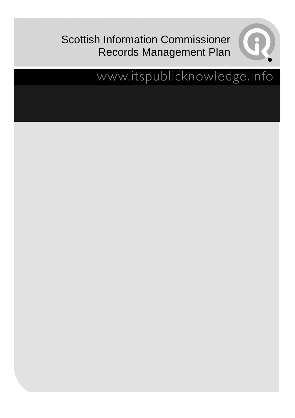## Scottish Information Commissioner Records Management Plan



## www.itspublicknowledge.info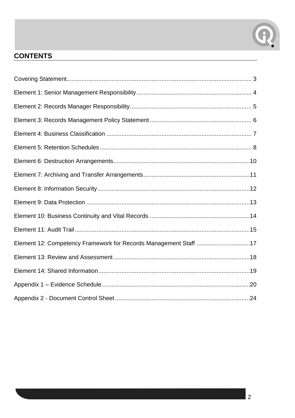

#### **CONTENTS**

| Element 12: Competency Framework for Records Management Staff 17 |
|------------------------------------------------------------------|
|                                                                  |
|                                                                  |
|                                                                  |
|                                                                  |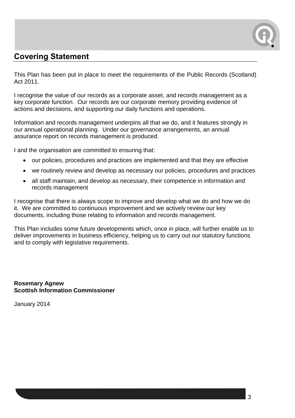

#### <span id="page-2-0"></span>**Covering Statement**

This Plan has been put in place to meet the requirements of the Public Records (Scotland) Act 2011.

I recognise the value of our records as a corporate asset, and records management as a key corporate function. Our records are our corporate memory providing evidence of actions and decisions, and supporting our daily functions and operations.

Information and records management underpins all that we do, and it features strongly in our annual operational planning. Under our governance arrangements, an annual assurance report on records management is produced.

I and the organisation are committed to ensuring that:

- our policies, procedures and practices are implemented and that they are effective
- we routinely review and develop as necessary our policies, procedures and practices
- all staff maintain, and develop as necessary, their competence in information and records management

I recognise that there is always scope to improve and develop what we do and how we do it. We are committed to continuous improvement and we actively review our key documents, including those relating to information and records management.

This Plan includes some future developments which, once in place, will further enable us to deliver improvements in business efficiency, helping us to carry out our statutory functions and to comply with legislative requirements.

**Rosemary Agnew Scottish Information Commissioner**

January 2014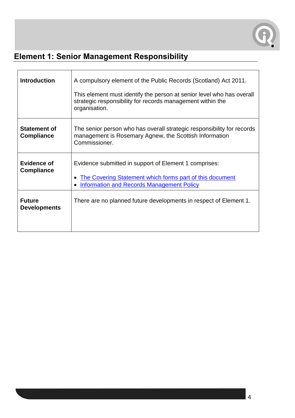

## <span id="page-3-0"></span>**Element 1: Senior Management Responsibility**

| <b>Introduction</b>                      | A compulsory element of the Public Records (Scotland) Act 2011.<br>This element must identify the person at senior level who has overall<br>strategic responsibility for records management within the<br>organisation. |
|------------------------------------------|-------------------------------------------------------------------------------------------------------------------------------------------------------------------------------------------------------------------------|
| <b>Statement of</b><br><b>Compliance</b> | The senior person who has overall strategic responsibility for records<br>management is Rosemary Agnew, the Scottish Information<br>Commissioner.                                                                       |
| <b>Evidence of</b><br><b>Compliance</b>  | Evidence submitted in support of Element 1 comprises:<br>The Covering Statement which forms part of this document<br><b>Information and Records Management Policy</b>                                                   |
| <b>Future</b><br><b>Developments</b>     | There are no planned future developments in respect of Element 1.                                                                                                                                                       |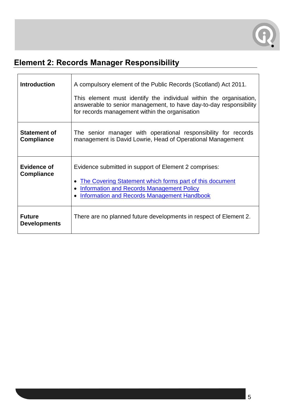

#### <span id="page-4-0"></span>**Element 2: Records Manager Responsibility**

| <b>Introduction</b>                      | A compulsory element of the Public Records (Scotland) Act 2011.                                                                                                                                                      |
|------------------------------------------|----------------------------------------------------------------------------------------------------------------------------------------------------------------------------------------------------------------------|
|                                          | This element must identify the individual within the organisation,<br>answerable to senior management, to have day-to-day responsibility<br>for records management within the organisation                           |
| <b>Statement of</b><br><b>Compliance</b> | The senior manager with operational responsibility for records<br>management is David Lowrie, Head of Operational Management                                                                                         |
| <b>Evidence of</b><br><b>Compliance</b>  | Evidence submitted in support of Element 2 comprises:<br>The Covering Statement which forms part of this document<br><b>Information and Records Management Policy</b><br>Information and Records Management Handbook |
| <b>Future</b><br><b>Developments</b>     | There are no planned future developments in respect of Element 2.                                                                                                                                                    |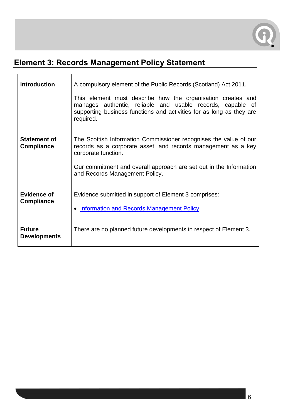

#### <span id="page-5-0"></span>**Element 3: Records Management Policy Statement**

| <b>Introduction</b>                      | A compulsory element of the Public Records (Scotland) Act 2011.<br>This element must describe how the organisation creates and<br>manages authentic, reliable and usable records, capable of<br>supporting business functions and activities for as long as they are<br>required. |
|------------------------------------------|-----------------------------------------------------------------------------------------------------------------------------------------------------------------------------------------------------------------------------------------------------------------------------------|
| <b>Statement of</b><br><b>Compliance</b> | The Scottish Information Commissioner recognises the value of our<br>records as a corporate asset, and records management as a key<br>corporate function.<br>Our commitment and overall approach are set out in the Information<br>and Records Management Policy.                 |
| <b>Evidence of</b><br><b>Compliance</b>  | Evidence submitted in support of Element 3 comprises:<br>• Information and Records Management Policy                                                                                                                                                                              |
| <b>Future</b><br><b>Developments</b>     | There are no planned future developments in respect of Element 3.                                                                                                                                                                                                                 |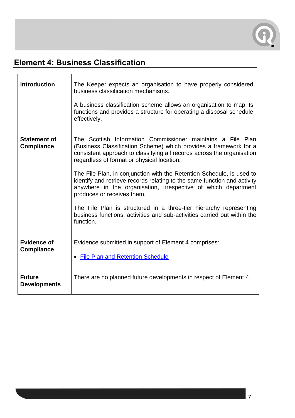

#### <span id="page-6-0"></span>**Element 4: Business Classification**

 $\blacksquare$ 

| <b>Introduction</b>                      | The Keeper expects an organisation to have properly considered<br>business classification mechanisms.<br>A business classification scheme allows an organisation to map its<br>functions and provides a structure for operating a disposal schedule      |
|------------------------------------------|----------------------------------------------------------------------------------------------------------------------------------------------------------------------------------------------------------------------------------------------------------|
|                                          | effectively.                                                                                                                                                                                                                                             |
| <b>Statement of</b><br><b>Compliance</b> | The Scottish Information Commissioner maintains a File Plan<br>(Business Classification Scheme) which provides a framework for a<br>consistent approach to classifying all records across the organisation<br>regardless of format or physical location. |
|                                          | The File Plan, in conjunction with the Retention Schedule, is used to<br>identify and retrieve records relating to the same function and activity<br>anywhere in the organisation, irrespective of which department<br>produces or receives them.        |
|                                          | The File Plan is structured in a three-tier hierarchy representing<br>business functions, activities and sub-activities carried out within the<br>function.                                                                                              |
| <b>Evidence of</b><br><b>Compliance</b>  | Evidence submitted in support of Element 4 comprises:<br>• File Plan and Retention Schedule                                                                                                                                                              |
| <b>Future</b><br><b>Developments</b>     | There are no planned future developments in respect of Element 4.                                                                                                                                                                                        |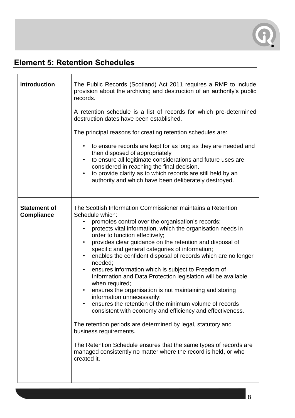

#### <span id="page-7-0"></span>**Element 5: Retention Schedules**

| <b>Introduction</b>                      | The Public Records (Scotland) Act 2011 requires a RMP to include<br>provision about the archiving and destruction of an authority's public<br>records.                                                                                                                                                                                                                                                                                                                                                                                                                                                                                                                                                                                                                                                                                                                                                                                                                                                                                                              |
|------------------------------------------|---------------------------------------------------------------------------------------------------------------------------------------------------------------------------------------------------------------------------------------------------------------------------------------------------------------------------------------------------------------------------------------------------------------------------------------------------------------------------------------------------------------------------------------------------------------------------------------------------------------------------------------------------------------------------------------------------------------------------------------------------------------------------------------------------------------------------------------------------------------------------------------------------------------------------------------------------------------------------------------------------------------------------------------------------------------------|
|                                          | A retention schedule is a list of records for which pre-determined<br>destruction dates have been established.                                                                                                                                                                                                                                                                                                                                                                                                                                                                                                                                                                                                                                                                                                                                                                                                                                                                                                                                                      |
|                                          | The principal reasons for creating retention schedules are:                                                                                                                                                                                                                                                                                                                                                                                                                                                                                                                                                                                                                                                                                                                                                                                                                                                                                                                                                                                                         |
|                                          | to ensure records are kept for as long as they are needed and<br>$\bullet$<br>then disposed of appropriately<br>to ensure all legitimate considerations and future uses are<br>$\bullet$<br>considered in reaching the final decision.<br>to provide clarity as to which records are still held by an<br>authority and which have been deliberately destroyed.                                                                                                                                                                                                                                                                                                                                                                                                                                                                                                                                                                                                                                                                                                      |
| <b>Statement of</b><br><b>Compliance</b> | The Scottish Information Commissioner maintains a Retention<br>Schedule which:<br>promotes control over the organisation's records;<br>protects vital information, which the organisation needs in<br>order to function effectively;<br>provides clear guidance on the retention and disposal of<br>specific and general categories of information;<br>enables the confident disposal of records which are no longer<br>$\bullet$<br>needed;<br>ensures information which is subject to Freedom of<br>$\bullet$<br>Information and Data Protection legislation will be available<br>when required;<br>ensures the organisation is not maintaining and storing<br>information unnecessarily;<br>ensures the retention of the minimum volume of records<br>consistent with economy and efficiency and effectiveness.<br>The retention periods are determined by legal, statutory and<br>business requirements.<br>The Retention Schedule ensures that the same types of records are<br>managed consistently no matter where the record is held, or who<br>created it. |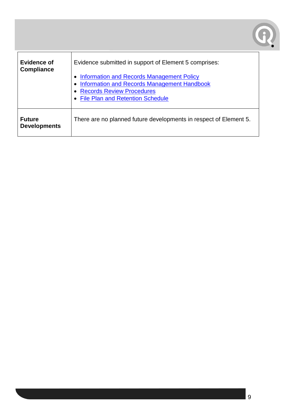

| <b>Evidence of</b><br><b>Compliance</b> | Evidence submitted in support of Element 5 comprises:<br><b>Information and Records Management Policy</b><br>Information and Records Management Handbook<br><b>Records Review Procedures</b><br>• File Plan and Retention Schedule |
|-----------------------------------------|------------------------------------------------------------------------------------------------------------------------------------------------------------------------------------------------------------------------------------|
| <b>Future</b><br><b>Developments</b>    | There are no planned future developments in respect of Element 5.                                                                                                                                                                  |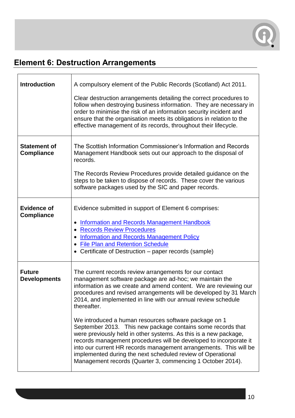

#### <span id="page-9-0"></span>**Element 6: Destruction Arrangements**

| <b>Introduction</b>                      | A compulsory element of the Public Records (Scotland) Act 2011.                                                                                                                                                                                                                                                                                                                                                                                                 |
|------------------------------------------|-----------------------------------------------------------------------------------------------------------------------------------------------------------------------------------------------------------------------------------------------------------------------------------------------------------------------------------------------------------------------------------------------------------------------------------------------------------------|
|                                          | Clear destruction arrangements detailing the correct procedures to<br>follow when destroying business information. They are necessary in<br>order to minimise the risk of an information security incident and<br>ensure that the organisation meets its obligations in relation to the<br>effective management of its records, throughout their lifecycle.                                                                                                     |
| <b>Statement of</b><br><b>Compliance</b> | The Scottish Information Commissioner's Information and Records<br>Management Handbook sets out our approach to the disposal of<br>records.<br>The Records Review Procedures provide detailed guidance on the<br>steps to be taken to dispose of records. These cover the various<br>software packages used by the SIC and paper records.                                                                                                                       |
| <b>Evidence of</b><br><b>Compliance</b>  | Evidence submitted in support of Element 6 comprises:<br><b>Information and Records Management Handbook</b><br>• Records Review Procedures<br>• Information and Records Management Policy<br>• File Plan and Retention Schedule<br>• Certificate of Destruction – paper records (sample)                                                                                                                                                                        |
| <b>Future</b><br><b>Developments</b>     | The current records review arrangements for our contact<br>management software package are ad-hoc; we maintain the<br>information as we create and amend content. We are reviewing our<br>procedures and revised arrangements will be developed by 31 March<br>2014, and implemented in line with our annual review schedule<br>thereafter.                                                                                                                     |
|                                          | We introduced a human resources software package on 1<br>September 2013. This new package contains some records that<br>were previously held in other systems. As this is a new package,<br>records management procedures will be developed to incorporate it<br>into our current HR records management arrangements. This will be<br>implemented during the next scheduled review of Operational<br>Management records (Quarter 3, commencing 1 October 2014). |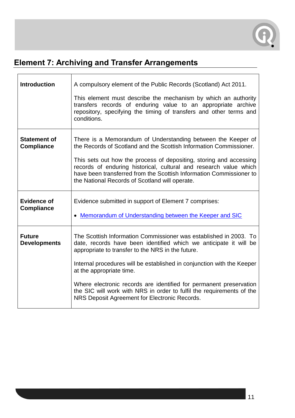

### <span id="page-10-0"></span>**Element 7: Archiving and Transfer Arrangements**

| <b>Introduction</b>                      | A compulsory element of the Public Records (Scotland) Act 2011.                                                                                                                                                                                                  |
|------------------------------------------|------------------------------------------------------------------------------------------------------------------------------------------------------------------------------------------------------------------------------------------------------------------|
|                                          | This element must describe the mechanism by which an authority<br>transfers records of enduring value to an appropriate archive<br>repository, specifying the timing of transfers and other terms and<br>conditions.                                             |
| <b>Statement of</b><br><b>Compliance</b> | There is a Memorandum of Understanding between the Keeper of<br>the Records of Scotland and the Scottish Information Commissioner.                                                                                                                               |
|                                          | This sets out how the process of depositing, storing and accessing<br>records of enduring historical, cultural and research value which<br>have been transferred from the Scottish Information Commissioner to<br>the National Records of Scotland will operate. |
| <b>Evidence of</b><br><b>Compliance</b>  | Evidence submitted in support of Element 7 comprises:                                                                                                                                                                                                            |
|                                          | • Memorandum of Understanding between the Keeper and SIC                                                                                                                                                                                                         |
| <b>Future</b><br><b>Developments</b>     | The Scottish Information Commissioner was established in 2003. To<br>date, records have been identified which we anticipate it will be<br>appropriate to transfer to the NRS in the future.                                                                      |
|                                          | Internal procedures will be established in conjunction with the Keeper<br>at the appropriate time.                                                                                                                                                               |
|                                          | Where electronic records are identified for permanent preservation<br>the SIC will work with NRS in order to fulfil the requirements of the<br>NRS Deposit Agreement for Electronic Records.                                                                     |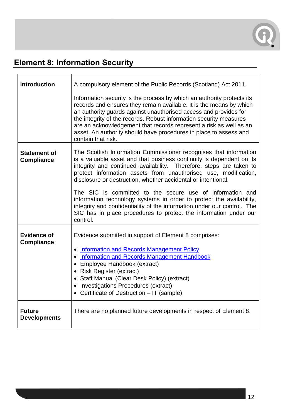

## <span id="page-11-0"></span>**Element 8: Information Security**

| <b>Introduction</b>                      | A compulsory element of the Public Records (Scotland) Act 2011.                                                                                                                                                                                                                                                                                                                                                                                          |
|------------------------------------------|----------------------------------------------------------------------------------------------------------------------------------------------------------------------------------------------------------------------------------------------------------------------------------------------------------------------------------------------------------------------------------------------------------------------------------------------------------|
|                                          | Information security is the process by which an authority protects its<br>records and ensures they remain available. It is the means by which<br>an authority guards against unauthorised access and provides for<br>the integrity of the records. Robust information security measures<br>are an acknowledgement that records represent a risk as well as an<br>asset. An authority should have procedures in place to assess and<br>contain that risk. |
| <b>Statement of</b><br><b>Compliance</b> | The Scottish Information Commissioner recognises that information<br>is a valuable asset and that business continuity is dependent on its<br>integrity and continued availability. Therefore, steps are taken to<br>protect information assets from unauthorised use, modification,<br>disclosure or destruction, whether accidental or intentional.                                                                                                     |
|                                          | The SIC is committed to the secure use of information and<br>information technology systems in order to protect the availability,<br>integrity and confidentiality of the information under our control. The<br>SIC has in place procedures to protect the information under our<br>control.                                                                                                                                                             |
| <b>Evidence of</b><br><b>Compliance</b>  | Evidence submitted in support of Element 8 comprises:<br>• Information and Records Management Policy<br>• Information and Records Management Handbook<br>• Employee Handbook (extract)<br>• Risk Register (extract)<br>• Staff Manual (Clear Desk Policy) (extract)<br>• Investigations Procedures (extract)<br>• Certificate of Destruction - IT (sample)                                                                                               |
| <b>Future</b><br><b>Developments</b>     | There are no planned future developments in respect of Element 8.                                                                                                                                                                                                                                                                                                                                                                                        |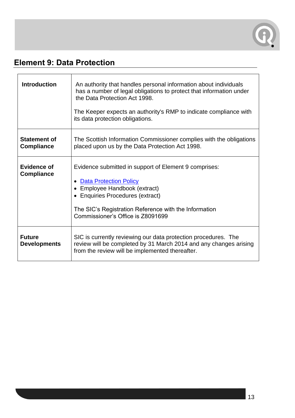

#### <span id="page-12-0"></span>**Element 9: Data Protection**

| <b>Introduction</b>                      | An authority that handles personal information about individuals<br>has a number of legal obligations to protect that information under<br>the Data Protection Act 1998.<br>The Keeper expects an authority's RMP to indicate compliance with<br>its data protection obligations. |
|------------------------------------------|-----------------------------------------------------------------------------------------------------------------------------------------------------------------------------------------------------------------------------------------------------------------------------------|
| <b>Statement of</b><br><b>Compliance</b> | The Scottish Information Commissioner complies with the obligations<br>placed upon us by the Data Protection Act 1998.                                                                                                                                                            |
| <b>Evidence of</b><br><b>Compliance</b>  | Evidence submitted in support of Element 9 comprises:<br><b>Data Protection Policy</b><br>• Employee Handbook (extract)<br>• Enquiries Procedures (extract)<br>The SIC's Registration Reference with the Information<br>Commissioner's Office is Z8091699                         |
| <b>Future</b><br><b>Developments</b>     | SIC is currently reviewing our data protection procedures. The<br>review will be completed by 31 March 2014 and any changes arising<br>from the review will be implemented thereafter.                                                                                            |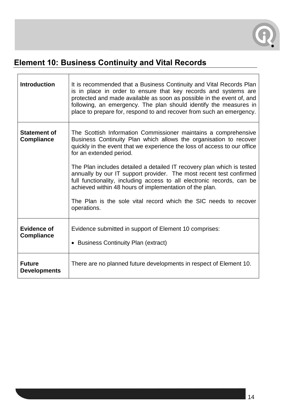

# <span id="page-13-0"></span>**Element 10: Business Continuity and Vital Records**

| <b>Introduction</b>                      | It is recommended that a Business Continuity and Vital Records Plan<br>is in place in order to ensure that key records and systems are<br>protected and made available as soon as possible in the event of, and<br>following, an emergency. The plan should identify the measures in<br>place to prepare for, respond to and recover from such an emergency. |
|------------------------------------------|--------------------------------------------------------------------------------------------------------------------------------------------------------------------------------------------------------------------------------------------------------------------------------------------------------------------------------------------------------------|
| <b>Statement of</b><br><b>Compliance</b> | The Scottish Information Commissioner maintains a comprehensive<br>Business Continuity Plan which allows the organisation to recover<br>quickly in the event that we experience the loss of access to our office<br>for an extended period.                                                                                                                  |
|                                          | The Plan includes detailed a detailed IT recovery plan which is tested<br>annually by our IT support provider. The most recent test confirmed<br>full functionality, including access to all electronic records, can be<br>achieved within 48 hours of implementation of the plan.                                                                           |
|                                          | The Plan is the sole vital record which the SIC needs to recover<br>operations.                                                                                                                                                                                                                                                                              |
| <b>Evidence of</b><br><b>Compliance</b>  | Evidence submitted in support of Element 10 comprises:<br>• Business Continuity Plan (extract)                                                                                                                                                                                                                                                               |
| <b>Future</b><br><b>Developments</b>     | There are no planned future developments in respect of Element 10.                                                                                                                                                                                                                                                                                           |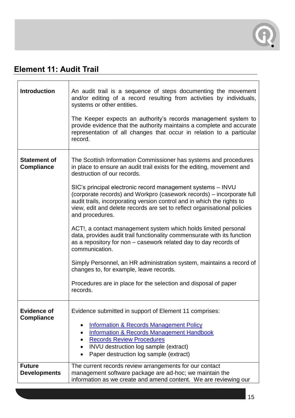

#### <span id="page-14-0"></span>**Element 11: Audit Trail**

| <b>Introduction</b>                                      | An audit trail is a sequence of steps documenting the movement<br>and/or editing of a record resulting from activities by individuals,<br>systems or other entities.<br>The Keeper expects an authority's records management system to<br>provide evidence that the authority maintains a complete and accurate<br>representation of all changes that occur in relation to a particular<br>record.                                                                                                                                                                                                                                                                                                                                                                                                                                                                                                                              |  |  |  |
|----------------------------------------------------------|---------------------------------------------------------------------------------------------------------------------------------------------------------------------------------------------------------------------------------------------------------------------------------------------------------------------------------------------------------------------------------------------------------------------------------------------------------------------------------------------------------------------------------------------------------------------------------------------------------------------------------------------------------------------------------------------------------------------------------------------------------------------------------------------------------------------------------------------------------------------------------------------------------------------------------|--|--|--|
| <b>Statement of</b><br><b>Compliance</b>                 | The Scottish Information Commissioner has systems and procedures<br>in place to ensure an audit trail exists for the editing, movement and<br>destruction of our records.<br>SIC's principal electronic record management systems - INVU<br>(corporate records) and Workpro (casework records) – incorporate full<br>audit trails, incorporating version control and in which the rights to<br>view, edit and delete records are set to reflect organisational policies<br>and procedures.<br>ACT!, a contact management system which holds limited personal<br>data, provides audit trail functionality commensurate with its function<br>as a repository for non - casework related day to day records of<br>communication.<br>Simply Personnel, an HR administration system, maintains a record of<br>changes to, for example, leave records.<br>Procedures are in place for the selection and disposal of paper<br>records. |  |  |  |
| <b>Evidence of</b><br><b>Compliance</b><br><b>Future</b> | Evidence submitted in support of Element 11 comprises:<br><b>Information &amp; Records Management Policy</b><br>$\bullet$<br><b>Information &amp; Records Management Handbook</b><br>$\bullet$<br><b>Records Review Procedures</b><br>INVU destruction log sample (extract)<br>$\bullet$<br>Paper destruction log sample (extract)<br>The current records review arrangements for our contact                                                                                                                                                                                                                                                                                                                                                                                                                                                                                                                                   |  |  |  |
| <b>Developments</b>                                      | management software package are ad-hoc; we maintain the<br>information as we create and amend content. We are reviewing our                                                                                                                                                                                                                                                                                                                                                                                                                                                                                                                                                                                                                                                                                                                                                                                                     |  |  |  |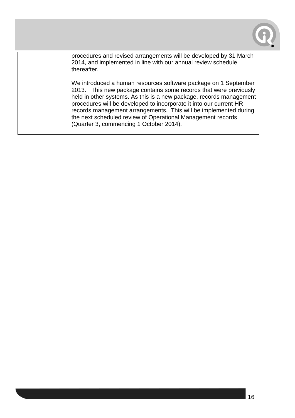

procedures and revised arrangements will be developed by 31 March 2014, and implemented in line with our annual review schedule thereafter.

We introduced a human resources software package on 1 September 2013. This new package contains some records that were previously held in other systems. As this is a new package, records management procedures will be developed to incorporate it into our current HR records management arrangements. This will be implemented during the next scheduled review of Operational Management records (Quarter 3, commencing 1 October 2014).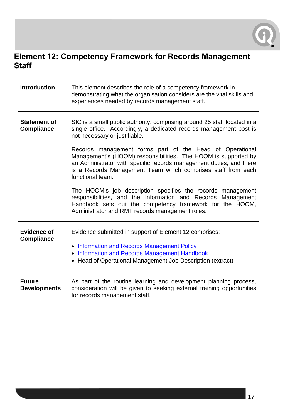

#### <span id="page-16-0"></span>**Element 12: Competency Framework for Records Management Staff**

| <b>Introduction</b>                      | This element describes the role of a competency framework in<br>demonstrating what the organisation considers are the vital skills and<br>experiences needed by records management staff.                                                                                                                                                                                                                                                                                                                                                                                                                                                                                                                              |  |  |  |
|------------------------------------------|------------------------------------------------------------------------------------------------------------------------------------------------------------------------------------------------------------------------------------------------------------------------------------------------------------------------------------------------------------------------------------------------------------------------------------------------------------------------------------------------------------------------------------------------------------------------------------------------------------------------------------------------------------------------------------------------------------------------|--|--|--|
| <b>Statement of</b><br><b>Compliance</b> | SIC is a small public authority, comprising around 25 staff located in a<br>single office. Accordingly, a dedicated records management post is<br>not necessary or justifiable.<br>Records management forms part of the Head of Operational<br>Management's (HOOM) responsibilities. The HOOM is supported by<br>an Administrator with specific records management duties, and there<br>is a Records Management Team which comprises staff from each<br>functional team.<br>The HOOM's job description specifies the records management<br>responsibilities, and the Information and Records Management<br>Handbook sets out the competency framework for the HOOM,<br>Administrator and RMT records management roles. |  |  |  |
| <b>Evidence of</b><br><b>Compliance</b>  | Evidence submitted in support of Element 12 comprises:<br>• Information and Records Management Policy<br>• Information and Records Management Handbook<br>• Head of Operational Management Job Description (extract)                                                                                                                                                                                                                                                                                                                                                                                                                                                                                                   |  |  |  |
| <b>Future</b><br><b>Developments</b>     | As part of the routine learning and development planning process,<br>consideration will be given to seeking external training opportunities<br>for records management staff.                                                                                                                                                                                                                                                                                                                                                                                                                                                                                                                                           |  |  |  |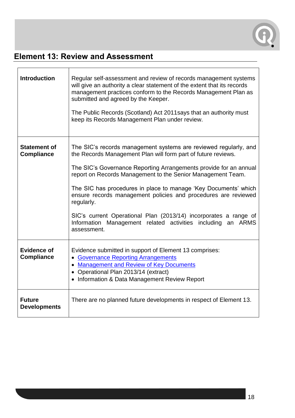

#### <span id="page-17-0"></span>**Element 13: Review and Assessment**

| <b>Introduction</b>                      | Regular self-assessment and review of records management systems<br>will give an authority a clear statement of the extent that its records<br>management practices conform to the Records Management Plan as<br>submitted and agreed by the Keeper.<br>The Public Records (Scotland) Act 2011 says that an authority must<br>keep its Records Management Plan under review. |  |  |  |
|------------------------------------------|------------------------------------------------------------------------------------------------------------------------------------------------------------------------------------------------------------------------------------------------------------------------------------------------------------------------------------------------------------------------------|--|--|--|
| <b>Statement of</b><br><b>Compliance</b> | The SIC's records management systems are reviewed regularly, and<br>the Records Management Plan will form part of future reviews.                                                                                                                                                                                                                                            |  |  |  |
|                                          | The SIC's Governance Reporting Arrangements provide for an annual<br>report on Records Management to the Senior Management Team.                                                                                                                                                                                                                                             |  |  |  |
|                                          | The SIC has procedures in place to manage 'Key Documents' which<br>ensure records management policies and procedures are reviewed<br>regularly.                                                                                                                                                                                                                              |  |  |  |
|                                          | SIC's current Operational Plan (2013/14) incorporates a range of<br>Information Management related activities including<br>an ARMS<br>assessment.                                                                                                                                                                                                                            |  |  |  |
| <b>Evidence of</b><br><b>Compliance</b>  | Evidence submitted in support of Element 13 comprises:<br>• Governance Reporting Arrangements<br>• Management and Review of Key Documents<br>• Operational Plan 2013/14 (extract)<br>• Information & Data Management Review Report                                                                                                                                           |  |  |  |
| <b>Future</b><br><b>Developments</b>     | There are no planned future developments in respect of Element 13.                                                                                                                                                                                                                                                                                                           |  |  |  |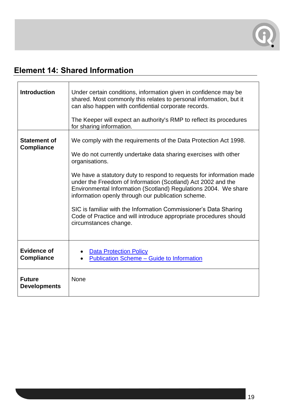

#### <span id="page-18-0"></span>**Element 14: Shared Information**

| <b>Introduction</b>                      | Under certain conditions, information given in confidence may be<br>shared. Most commonly this relates to personal information, but it<br>can also happen with confidential corporate records.<br>The Keeper will expect an authority's RMP to reflect its procedures<br>for sharing information.                                                                                                                                                                                                                                                                                        |  |  |  |  |
|------------------------------------------|------------------------------------------------------------------------------------------------------------------------------------------------------------------------------------------------------------------------------------------------------------------------------------------------------------------------------------------------------------------------------------------------------------------------------------------------------------------------------------------------------------------------------------------------------------------------------------------|--|--|--|--|
| <b>Statement of</b><br><b>Compliance</b> | We comply with the requirements of the Data Protection Act 1998.<br>We do not currently undertake data sharing exercises with other<br>organisations.<br>We have a statutory duty to respond to requests for information made<br>under the Freedom of Information (Scotland) Act 2002 and the<br>Environmental Information (Scotland) Regulations 2004. We share<br>information openly through our publication scheme.<br>SIC is familiar with the Information Commissioner's Data Sharing<br>Code of Practice and will introduce appropriate procedures should<br>circumstances change. |  |  |  |  |
| <b>Evidence of</b><br><b>Compliance</b>  | <b>Data Protection Policy</b><br><b>Publication Scheme - Guide to Information</b>                                                                                                                                                                                                                                                                                                                                                                                                                                                                                                        |  |  |  |  |
| <b>Future</b><br><b>Developments</b>     | <b>None</b>                                                                                                                                                                                                                                                                                                                                                                                                                                                                                                                                                                              |  |  |  |  |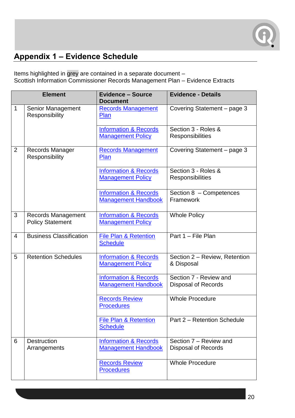

#### <span id="page-19-0"></span>**Appendix 1 – Evidence Schedule**

Items highlighted in grey are contained in a separate document – Scottish Information Commissioner Records Management Plan – Evidence Extracts

| <b>Element</b> |                                                      | <b>Evidence - Source</b><br><b>Document</b>                    | <b>Evidence - Details</b>                            |  |
|----------------|------------------------------------------------------|----------------------------------------------------------------|------------------------------------------------------|--|
| 1              | Senior Management<br>Responsibility                  | <b>Records Management</b><br>Plan                              | Covering Statement - page 3                          |  |
|                |                                                      | <b>Information &amp; Records</b><br><b>Management Policy</b>   | Section 3 - Roles &<br>Responsibilities              |  |
| $\overline{2}$ | Records Manager<br>Responsibility                    | <b>Records Management</b><br>Plan                              | Covering Statement - page 3                          |  |
|                |                                                      | <b>Information &amp; Records</b><br><b>Management Policy</b>   | Section 3 - Roles &<br><b>Responsibilities</b>       |  |
|                |                                                      | <b>Information &amp; Records</b><br><b>Management Handbook</b> | Section 8 - Competences<br>Framework                 |  |
| 3              | <b>Records Management</b><br><b>Policy Statement</b> | <b>Information &amp; Records</b><br><b>Management Policy</b>   | <b>Whole Policy</b>                                  |  |
| 4              | <b>Business Classification</b>                       | <b>File Plan &amp; Retention</b><br><b>Schedule</b>            | Part 1 - File Plan                                   |  |
| 5              | <b>Retention Schedules</b>                           | <b>Information &amp; Records</b><br><b>Management Policy</b>   | Section 2 - Review, Retention<br>& Disposal          |  |
|                |                                                      | <b>Information &amp; Records</b><br><b>Management Handbook</b> | Section 7 - Review and<br><b>Disposal of Records</b> |  |
|                |                                                      | <b>Records Review</b><br><b>Procedures</b>                     | <b>Whole Procedure</b>                               |  |
|                |                                                      | <b>File Plan &amp; Retention</b><br><b>Schedule</b>            | Part 2 - Retention Schedule                          |  |
| 6              | <b>Destruction</b><br>Arrangements                   | <b>Information &amp; Records</b><br><b>Management Handbook</b> | Section 7 - Review and<br><b>Disposal of Records</b> |  |
|                |                                                      | <b>Records Review</b><br><b>Procedures</b>                     | <b>Whole Procedure</b>                               |  |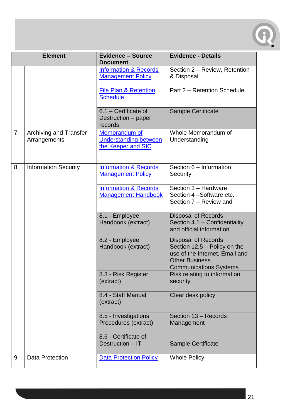

| <b>Element</b> |                                               | <b>Evidence - Source</b><br><b>Document</b>                         | <b>Evidence - Details</b>                                                                                                                              |
|----------------|-----------------------------------------------|---------------------------------------------------------------------|--------------------------------------------------------------------------------------------------------------------------------------------------------|
|                |                                               | <b>Information &amp; Records</b><br><b>Management Policy</b>        | Section 2 - Review, Retention<br>& Disposal                                                                                                            |
|                |                                               | <b>File Plan &amp; Retention</b><br><b>Schedule</b>                 | Part 2 - Retention Schedule                                                                                                                            |
|                |                                               | 6.1 - Certificate of<br>Destruction - paper<br>records              | Sample Certificate                                                                                                                                     |
| $\overline{7}$ | <b>Archiving and Transfer</b><br>Arrangements | Memorandum of<br><b>Understanding between</b><br>the Keeper and SIC | Whole Memorandum of<br>Understanding                                                                                                                   |
| 8              | <b>Information Security</b>                   | <b>Information &amp; Records</b><br><b>Management Policy</b>        | Section 6 - Information<br>Security                                                                                                                    |
|                |                                               | <b>Information &amp; Records</b><br><b>Management Handbook</b>      | Section 3 - Hardware<br>Section 4-Software etc.<br>Section 7 - Review and                                                                              |
|                |                                               | 8.1 - Employee<br>Handbook (extract)                                | <b>Disposal of Records</b><br>Section 4.1 - Confidentiality<br>and official information                                                                |
|                |                                               | 8.2 - Employee<br>Handbook (extract)                                | <b>Disposal of Records</b><br>Section 12.5 - Policy on the<br>use of the Internet, Email and<br><b>Other Business</b><br><b>Communications Systems</b> |
|                |                                               | 8.3 - Risk Register<br>(extract)                                    | Risk relating to information<br>security                                                                                                               |
|                |                                               | 8.4 - Staff Manual<br>(extract)                                     | Clear desk policy                                                                                                                                      |
|                |                                               | 8.5 - Investigations<br>Procedures (extract)                        | Section 13 - Records<br>Management                                                                                                                     |
|                |                                               | 8.6 - Certificate of<br>Destruction - IT                            | <b>Sample Certificate</b>                                                                                                                              |
| 9              | <b>Data Protection</b>                        | <b>Data Protection Policy</b>                                       | <b>Whole Policy</b>                                                                                                                                    |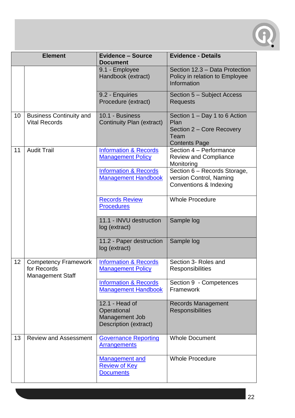

| <b>Element</b> |                                                                       | <b>Evidence - Source</b><br><b>Document</b>                              | <b>Evidence - Details</b>                                                                          |  |
|----------------|-----------------------------------------------------------------------|--------------------------------------------------------------------------|----------------------------------------------------------------------------------------------------|--|
|                |                                                                       | 9.1 - Employee<br>Handbook (extract)                                     | Section 12.3 - Data Protection<br>Policy in relation to Employee<br>Information                    |  |
|                |                                                                       | 9.2 - Enquiries<br>Procedure (extract)                                   | Section 5 - Subject Access<br><b>Requests</b>                                                      |  |
| 10             | <b>Business Continuity and</b><br><b>Vital Records</b>                | 10.1 - Business<br>Continuity Plan (extract)                             | Section 1 – Day 1 to 6 Action<br>Plan<br>Section 2 – Core Recovery<br>Team<br><b>Contents Page</b> |  |
| 11             | <b>Audit Trail</b>                                                    | <b>Information &amp; Records</b><br><b>Management Policy</b>             | Section 4 - Performance<br><b>Review and Compliance</b><br>Monitoring                              |  |
|                |                                                                       | <b>Information &amp; Records</b><br><b>Management Handbook</b>           | Section 6 - Records Storage,<br>version Control, Naming<br>Conventions & Indexing                  |  |
|                |                                                                       | <b>Records Review</b><br><b>Procedures</b>                               | <b>Whole Procedure</b>                                                                             |  |
|                |                                                                       | 11.1 - INVU destruction<br>log (extract)                                 | Sample log                                                                                         |  |
|                |                                                                       | 11.2 - Paper destruction<br>log (extract)                                | Sample log                                                                                         |  |
| 12             | <b>Competency Framework</b><br>for Records<br><b>Management Staff</b> | <b>Information &amp; Records</b><br><b>Management Policy</b>             | Section 3- Roles and<br><b>Responsibilities</b>                                                    |  |
|                |                                                                       | <b>Information &amp; Records</b><br><b>Management Handbook</b>           | Section 9 - Competences<br>Framework                                                               |  |
|                |                                                                       | 12.1 - Head of<br>Operational<br>Management Job<br>Description (extract) | <b>Records Management</b><br><b>Responsibilities</b>                                               |  |
| 13             | <b>Review and Assessment</b>                                          | <b>Governance Reporting</b><br><b>Arrangements</b>                       | <b>Whole Document</b>                                                                              |  |
|                |                                                                       | <b>Management and</b><br><b>Review of Key</b><br><b>Documents</b>        | <b>Whole Procedure</b>                                                                             |  |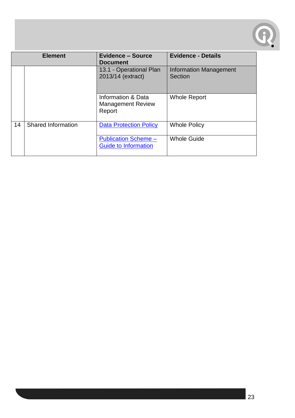

| <b>Element</b> |                           | <b>Evidence - Source</b><br><b>Document</b>                | <b>Evidence - Details</b>                |  |
|----------------|---------------------------|------------------------------------------------------------|------------------------------------------|--|
|                |                           | 13.1 - Operational Plan<br>2013/14 (extract)               | <b>Information Management</b><br>Section |  |
|                |                           | Information & Data<br><b>Management Review</b><br>Report   | <b>Whole Report</b>                      |  |
| 14             | <b>Shared Information</b> | <b>Data Protection Policy</b>                              | <b>Whole Policy</b>                      |  |
|                |                           | <b>Publication Scheme -</b><br><b>Guide to Information</b> | <b>Whole Guide</b>                       |  |